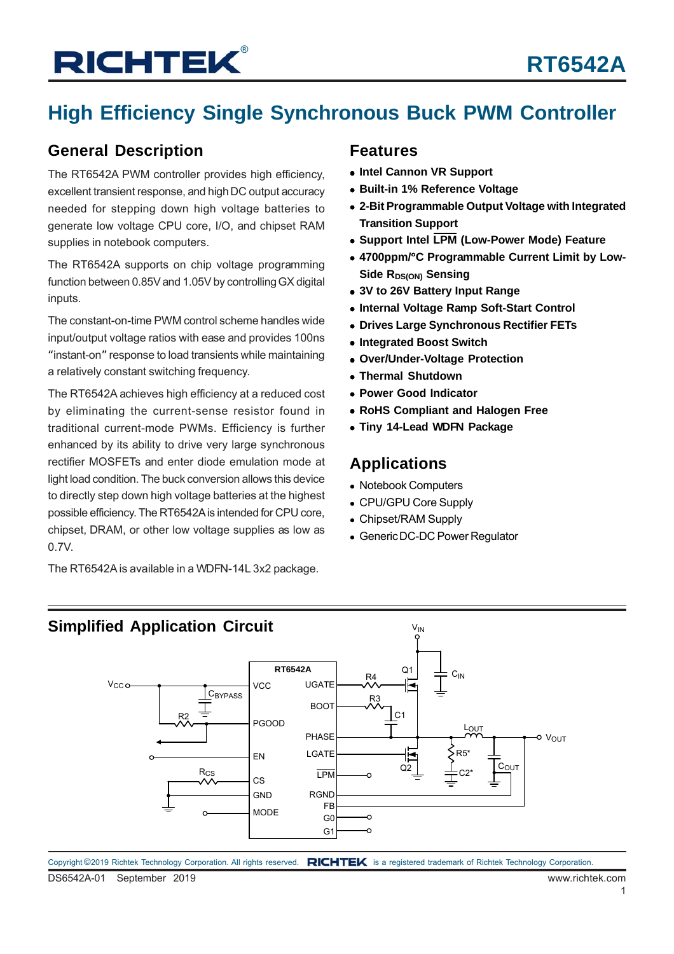## **High Efficiency Single Synchronous Buck PWM Controller**

### **General Description**

The RT6542A PWM controller provides high efficiency, excellent transient response, and high DC output accuracy needed for stepping down high voltage batteries to generate low voltage CPU core, I/O, and chipset RAM supplies in notebook computers.

The RT6542A supports on chip voltage programming function between 0.85V and 1.05V by controlling GX digital inputs.

The constant-on-time PWM control scheme handles wide input/output voltage ratios with ease and provides 100ns "instant-on" response to load transients while maintaining a relatively constant switching frequency.

The RT6542A achieves high efficiency at a reduced cost by eliminating the current-sense resistor found in traditional current-mode PWMs. Efficiency is further enhanced by its ability to drive very large synchronous rectifier MOSFETs and enter diode emulation mode at light load condition. The buck conversion allows this device to directly step down high voltage batteries at the highest possible efficiency. The RT6542A is intended for CPU core, chipset, DRAM, or other low voltage supplies as low as 0.7V.

The RT6542A is available in a WDFN-14L 3x2 package.

### **Features**

- **Intel Cannon VR Support**
- **Built-in 1% Reference Voltage**
- **2-Bit Programmable Output Voltage with Integrated Transition Support**
- **Support Intel LPM (Low-Power Mode) Feature**
- **4700ppm/**°**C Programmable Current Limit by Low-Side RDS(ON) Sensing**
- **3V to 26V Battery Input Range**
- **Internal Voltage Ramp Soft-Start Control**
- **Drives Large Synchronous Rectifier FETs**
- **Integrated Boost Switch**
- **Over/Under-Voltage Protection**
- **Thermal Shutdown**
- **Power Good Indicator**
- **RoHS Compliant and Halogen Free**
- **Tiny 14-Lead WDFN Package**

### **Applications**

- Notebook Computers
- CPU/GPU Core Supply
- Chipset/RAM Supply
- Generic DC-DC Power Regulator

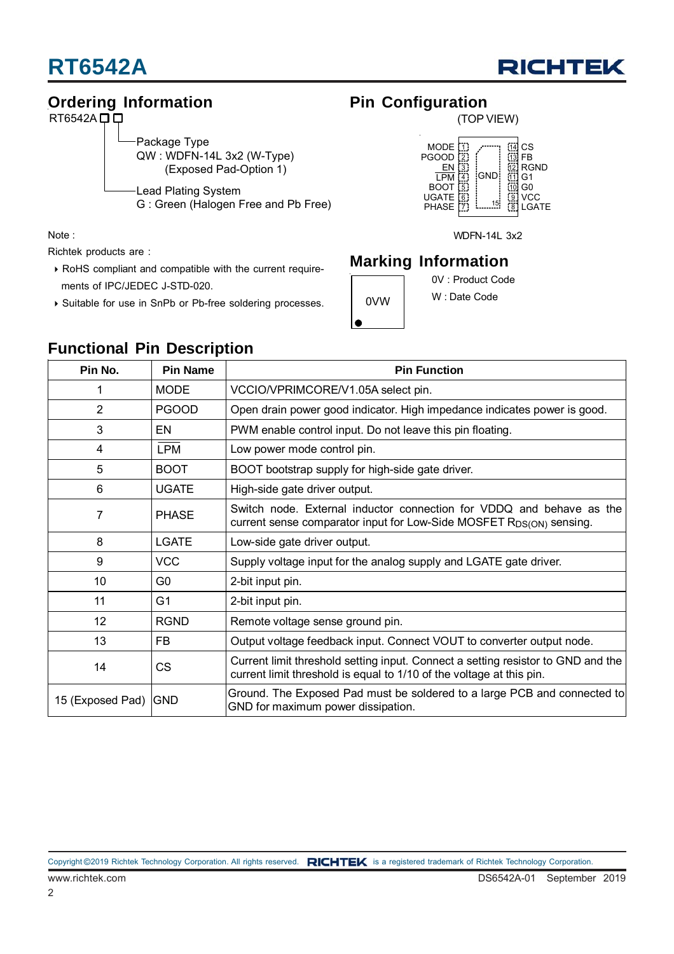



### **Ordering Information**

 $RT6542A$  $\Box$  $\Box$ 

Package Type QW : WDFN-14L 3x2 (W-Type)

(Exposed Pad-Option 1)

Lead Plating System G : Green (Halogen Free and Pb Free)

Note :

Richtek products are :

- RoHS compliant and compatible with the current require ments of IPC/JEDEC J-STD-020.
- Suitable for use in SnPb or Pb-free soldering processes.

## **Pin Configuration**

(TOP VIEW)



WDFN-14L 3x2

### **Marking Information**

0V : Product Code

0VW

W : Date Code

|  | <b>Functional Pin Description</b> |  |
|--|-----------------------------------|--|

| Pin No.          | <b>Pin Name</b> | <b>Pin Function</b>                                                                                                                                      |
|------------------|-----------------|----------------------------------------------------------------------------------------------------------------------------------------------------------|
| 1                | <b>MODE</b>     | VCCIO/VPRIMCORE/V1.05A select pin.                                                                                                                       |
| $\overline{2}$   | <b>PGOOD</b>    | Open drain power good indicator. High impedance indicates power is good.                                                                                 |
| 3                | EN              | PWM enable control input. Do not leave this pin floating.                                                                                                |
| 4                | <b>LPM</b>      | Low power mode control pin.                                                                                                                              |
| 5                | <b>BOOT</b>     | BOOT bootstrap supply for high-side gate driver.                                                                                                         |
| 6                | <b>UGATE</b>    | High-side gate driver output.                                                                                                                            |
| 7                | <b>PHASE</b>    | Switch node. External inductor connection for VDDQ and behave as the<br>current sense comparator input for Low-Side MOSFET R <sub>DS(ON)</sub> sensing.  |
| 8                | <b>LGATE</b>    | Low-side gate driver output.                                                                                                                             |
| 9                | <b>VCC</b>      | Supply voltage input for the analog supply and LGATE gate driver.                                                                                        |
| 10               | G <sub>0</sub>  | 2-bit input pin.                                                                                                                                         |
| 11               | G <sub>1</sub>  | 2-bit input pin.                                                                                                                                         |
| 12               | <b>RGND</b>     | Remote voltage sense ground pin.                                                                                                                         |
| 13               | <b>FB</b>       | Output voltage feedback input. Connect VOUT to converter output node.                                                                                    |
| 14               | <b>CS</b>       | Current limit threshold setting input. Connect a setting resistor to GND and the<br>current limit threshold is equal to 1/10 of the voltage at this pin. |
| 15 (Exposed Pad) | <b>GND</b>      | Ground. The Exposed Pad must be soldered to a large PCB and connected to<br>GND for maximum power dissipation.                                           |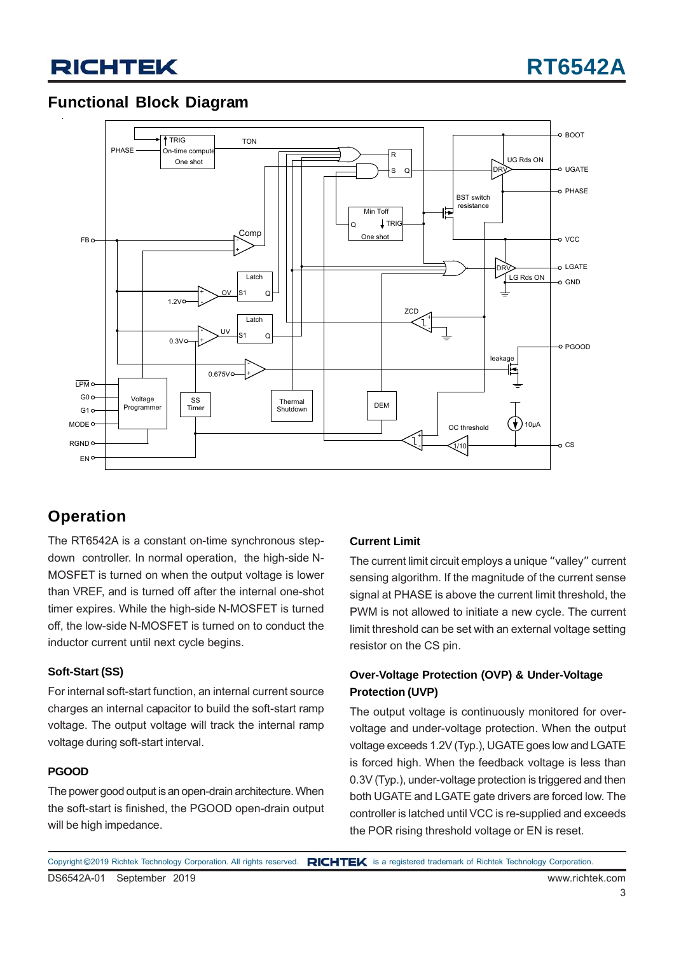### **Functional Block Diagram**



## **Operation**

The RT6542A is a constant on-time synchronous stepdown controller. In normal operation, the high-side N-MOSFET is turned on when the output voltage is lower than VREF, and is turned off after the internal one-shot timer expires. While the high-side N-MOSFET is turned off, the low-side N-MOSFET is turned on to conduct the inductor current until next cycle begins.

### **Soft-Start (SS)**

For internal soft-start function, an internal current source charges an internal capacitor to build the soft-start ramp voltage. The output voltage will track the internal ramp voltage during soft-start interval.

### **PGOOD**

The power good output is an open-drain architecture. When the soft-start is finished, the PGOOD open-drain output will be high impedance.

### **Current Limit**

The current limit circuit employs a unique "valley" current sensing algorithm. If the magnitude of the current sense signal at PHASE is above the current limit threshold, the PWM is not allowed to initiate a new cycle. The current limit threshold can be set with an external voltage setting resistor on the CS pin.

### **Over-Voltage Protection (OVP) & Under-Voltage Protection (UVP)**

The output voltage is continuously monitored for overvoltage and under-voltage protection. When the output voltage exceeds 1.2V (Typ.), UGATE goes low and LGATE is forced high. When the feedback voltage is less than 0.3V (Typ.), under-voltage protection is triggered and then both UGATE and LGATE gate drivers are forced low. The controller is latched until VCC is re-supplied and exceeds the POR rising threshold voltage or EN is reset.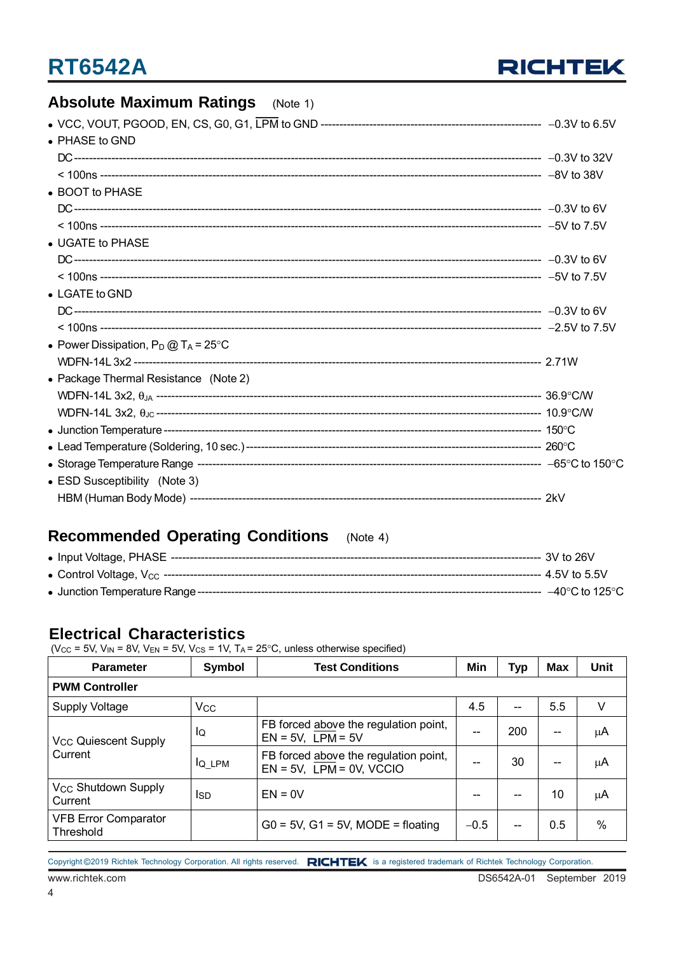

## **Absolute Maximum Ratings** (Note 1)

| • PHASE to GND                                 |  |
|------------------------------------------------|--|
|                                                |  |
|                                                |  |
| • BOOT to PHASE                                |  |
|                                                |  |
|                                                |  |
| • UGATE to PHASE                               |  |
|                                                |  |
|                                                |  |
| $\bullet$ LGATE to GND                         |  |
|                                                |  |
|                                                |  |
| • Power Dissipation, $P_D @ T_A = 25^{\circ}C$ |  |
|                                                |  |
| • Package Thermal Resistance (Note 2)          |  |
|                                                |  |
|                                                |  |
|                                                |  |
|                                                |  |
|                                                |  |
| • ESD Susceptibility (Note 3)                  |  |
|                                                |  |
|                                                |  |

## **Recommended Operating Conditions** (Note 4)

| ---- 3V to 26V      |
|---------------------|
| ---- 4.5V to 5.5V   |
| –40°C to 125°C $\,$ |

### **Electrical Characteristics**

(V<sub>CC</sub> = 5V, V<sub>IN</sub> = 8V, V<sub>EN</sub> = 5V, V<sub>CS</sub> = 1V, T<sub>A</sub> = 25°C, unless otherwise specified)

| <b>Parameter</b>                                  | Symbol   | <b>Test Conditions</b>                                                  | Min    | Typ | <b>Max</b> | Unit |  |  |  |
|---------------------------------------------------|----------|-------------------------------------------------------------------------|--------|-----|------------|------|--|--|--|
| <b>PWM Controller</b>                             |          |                                                                         |        |     |            |      |  |  |  |
| Supply Voltage                                    | $V_{CC}$ |                                                                         | 4.5    |     | 5.5        | V    |  |  |  |
| <b>V<sub>CC</sub></b> Quiescent Supply<br>Current | Ιo       | FB forced above the regulation point,<br>$EN = 5V$ , $LPM = 5V$         | --     | 200 | --         | μA   |  |  |  |
|                                                   | $IQ_LPM$ | FB forced above the regulation point,<br>$EN = 5V$ , $LPM = 0V$ , VCCIO |        | 30  | --         | μA   |  |  |  |
| V <sub>CC</sub> Shutdown Supply<br>Current        | Isd      | $EN = 0V$                                                               | --     | --  | 10         | μA   |  |  |  |
| <b>VFB Error Comparator</b><br>Threshold          |          | $G0 = 5V$ , $G1 = 5V$ , MODE = floating                                 | $-0.5$ | --  | 0.5        | $\%$ |  |  |  |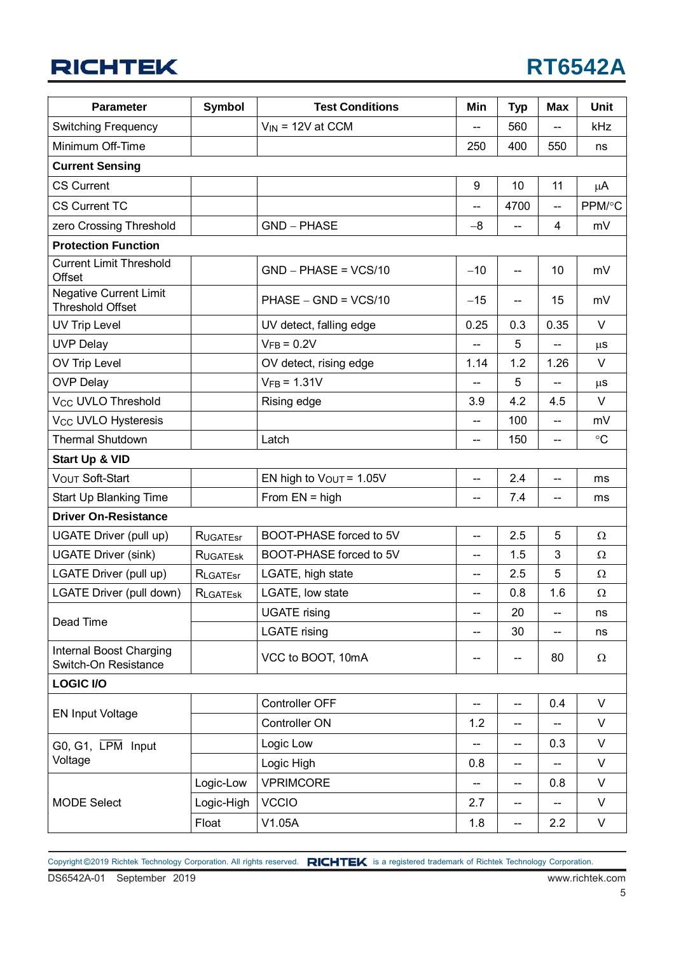| <b>Parameter</b>                                         | Symbol          | <b>Test Conditions</b>       | Min                      | <b>Typ</b>                          | <b>Max</b>               | <b>Unit</b>     |
|----------------------------------------------------------|-----------------|------------------------------|--------------------------|-------------------------------------|--------------------------|-----------------|
| <b>Switching Frequency</b>                               |                 | $V_{IN}$ = 12V at CCM        |                          | 560                                 |                          | kHz             |
| Minimum Off-Time                                         |                 |                              | 250                      | 400                                 | 550                      | ns              |
| <b>Current Sensing</b>                                   |                 |                              |                          |                                     |                          |                 |
| <b>CS Current</b>                                        |                 |                              | 9                        | 10                                  | 11                       | $\mu$ A         |
| <b>CS Current TC</b>                                     |                 |                              | $-$                      | 4700                                | $\overline{\phantom{a}}$ | PPM/°C          |
| zero Crossing Threshold                                  |                 | <b>GND - PHASE</b>           | $-8$                     | $\overline{\phantom{a}}$            | 4                        | mV              |
| <b>Protection Function</b>                               |                 |                              |                          |                                     |                          |                 |
| <b>Current Limit Threshold</b><br>Offset                 |                 | $GND - PHASE = VCS/10$       | $-10$                    | $\overline{\phantom{a}}$            | 10                       | mV              |
| <b>Negative Current Limit</b><br><b>Threshold Offset</b> |                 | $PHASE - GND = VCS/10$       | $-15$                    | --                                  | 15                       | mV              |
| UV Trip Level                                            |                 | UV detect, falling edge      | 0.25                     | 0.3                                 | 0.35                     | $\vee$          |
| <b>UVP Delay</b>                                         |                 | $VFB = 0.2V$                 |                          | 5                                   |                          | $\mu$ s         |
| OV Trip Level                                            |                 | OV detect, rising edge       | 1.14                     | 1.2                                 | 1.26                     | $\vee$          |
| <b>OVP Delay</b>                                         |                 | $VFB = 1.31V$                | --                       | 5                                   | $\overline{\phantom{a}}$ | $\mu$ s         |
| Vcc UVLO Threshold                                       |                 | Rising edge                  | 3.9                      | 4.2                                 | 4.5                      | V               |
| V <sub>CC</sub> UVLO Hysteresis                          |                 |                              | $\overline{\phantom{a}}$ | 100                                 | --                       | mV              |
| <b>Thermal Shutdown</b>                                  |                 | Latch                        | $\overline{\phantom{a}}$ | 150                                 | $-$                      | $\rm ^{\circ}C$ |
| Start Up & VID                                           |                 |                              |                          |                                     |                          |                 |
| VOUT Soft-Start                                          |                 | EN high to $V_{OUT} = 1.05V$ | --                       | 2.4                                 | $\overline{\phantom{a}}$ | ms              |
| Start Up Blanking Time                                   |                 | From $EN = high$             | $\overline{\phantom{a}}$ | 7.4                                 | $\overline{\phantom{a}}$ | ms              |
| <b>Driver On-Resistance</b>                              |                 |                              |                          |                                     |                          |                 |
| UGATE Driver (pull up)                                   | <b>RUGATEST</b> | BOOT-PHASE forced to 5V      | $\overline{\phantom{a}}$ | 2.5                                 | 5                        | Ω               |
| <b>UGATE Driver (sink)</b>                               | <b>RUGATESK</b> | BOOT-PHASE forced to 5V      | $\overline{\phantom{a}}$ | 1.5                                 | 3                        | Ω               |
| LGATE Driver (pull up)                                   | RLGATESr        | LGATE, high state            | $\overline{\phantom{a}}$ | 2.5                                 | 5                        | $\Omega$        |
| LGATE Driver (pull down)                                 | <b>RLGATESK</b> | LGATE, low state             | $\overline{\phantom{a}}$ | 0.8                                 | 1.6                      | $\Omega$        |
| Dead Time                                                |                 | <b>UGATE</b> rising          | --                       | 20                                  | $\overline{\phantom{a}}$ | ns              |
|                                                          |                 | <b>LGATE</b> rising          | $\overline{\phantom{a}}$ | 30                                  | --                       | ns              |
| Internal Boost Charging<br>Switch-On Resistance          |                 | VCC to BOOT, 10mA            | --                       | $-$                                 | 80                       | $\Omega$        |
| <b>LOGIC I/O</b>                                         |                 |                              |                          |                                     |                          |                 |
| <b>EN Input Voltage</b>                                  |                 | Controller OFF               | $\overline{\phantom{a}}$ | $-$                                 | 0.4                      | $\vee$          |
|                                                          |                 | Controller ON                | 1.2                      | $\overline{\phantom{a}}$            |                          | V               |
| G0, G1, LPM Input                                        |                 | Logic Low                    | --                       | $\overline{\phantom{a}}$            | 0.3                      | $\vee$          |
| Voltage                                                  |                 | Logic High                   | 0.8                      | $\overline{\phantom{a}}$            | $\overline{\phantom{a}}$ | $\vee$          |
|                                                          | Logic-Low       | <b>VPRIMCORE</b>             | --                       | $\hspace{0.05cm}$ $\hspace{0.05cm}$ | 0.8                      | V               |
| <b>MODE Select</b>                                       | Logic-High      | <b>VCCIO</b>                 | 2.7                      | $\overline{\phantom{a}}$            | $\overline{\phantom{a}}$ | V               |
|                                                          | Float           | V1.05A                       | 1.8                      | $\overline{\phantom{a}}$            | 2.2                      | V               |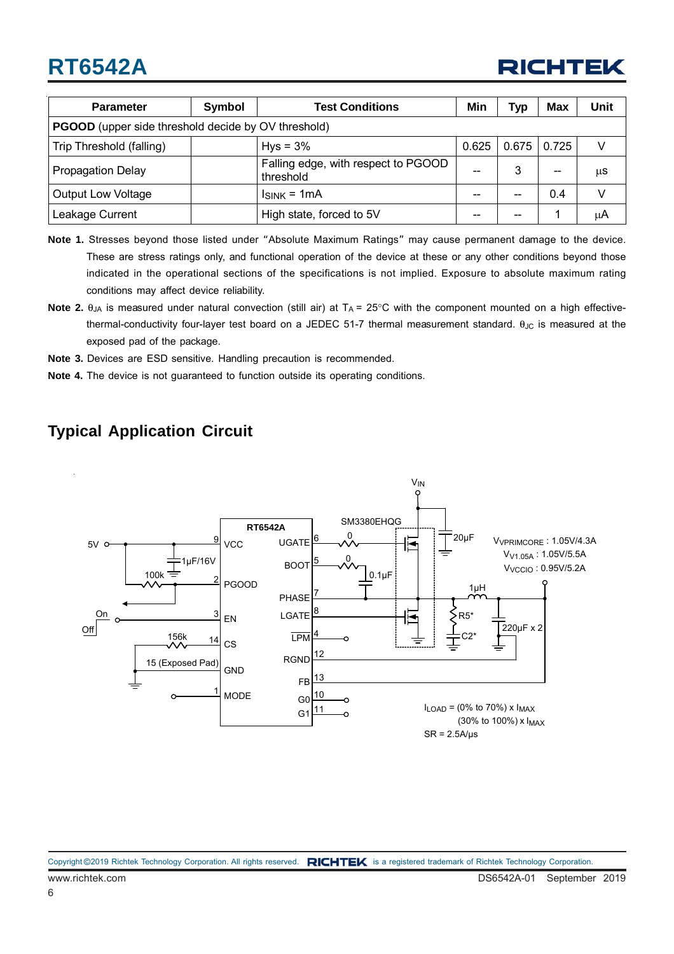

| <b>Parameter</b>                                           | <b>Test Conditions</b><br>Symbol |                                                  | Min   | Typ   | <b>Max</b> | Unit |  |
|------------------------------------------------------------|----------------------------------|--------------------------------------------------|-------|-------|------------|------|--|
| <b>PGOOD</b> (upper side threshold decide by OV threshold) |                                  |                                                  |       |       |            |      |  |
| Trip Threshold (falling)                                   |                                  | $Hys = 3%$                                       | 0.625 | 0.675 | 0.725      |      |  |
| <b>Propagation Delay</b>                                   |                                  | Falling edge, with respect to PGOOD<br>threshold | --    |       | --         | μS   |  |
| <b>Output Low Voltage</b>                                  |                                  | $Isink = 1mA$                                    |       |       | 0.4        |      |  |
| Leakage Current                                            |                                  | High state, forced to 5V                         | --    | --    |            | μA   |  |

- **Note 1.** Stresses beyond those listed under "Absolute Maximum Ratings" may cause permanent damage to the device. These are stress ratings only, and functional operation of the device at these or any other conditions beyond those indicated in the operational sections of the specifications is not implied. Exposure to absolute maximum rating conditions may affect device reliability.
- **Note 2.**  $\theta_{JA}$  is measured under natural convection (still air) at  $T_A = 25^\circ$ C with the component mounted on a high effectivethermal-conductivity four-layer test board on a JEDEC 51-7 thermal measurement standard.  $\theta_{JC}$  is measured at the exposed pad of the package.
- **Note 3.** Devices are ESD sensitive. Handling precaution is recommended.
- **Note 4.** The device is not guaranteed to function outside its operating conditions.

### **Typical Application Circuit**

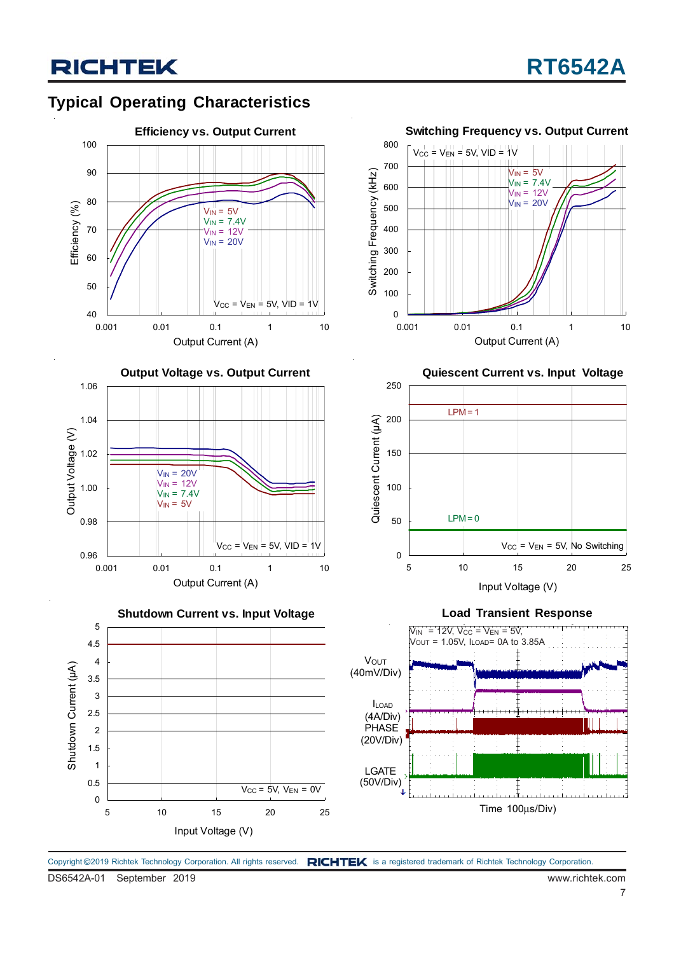## **Typical Operating Characteristics**









**Quiescent Current vs. Input Voltage**







Copyright ©2019 Richtek Technology Corporation. All rights reserved. RICHTEK is a registered trademark of Richtek Technology Corporation.

DS6542A-01 September 2019 www.richtek.com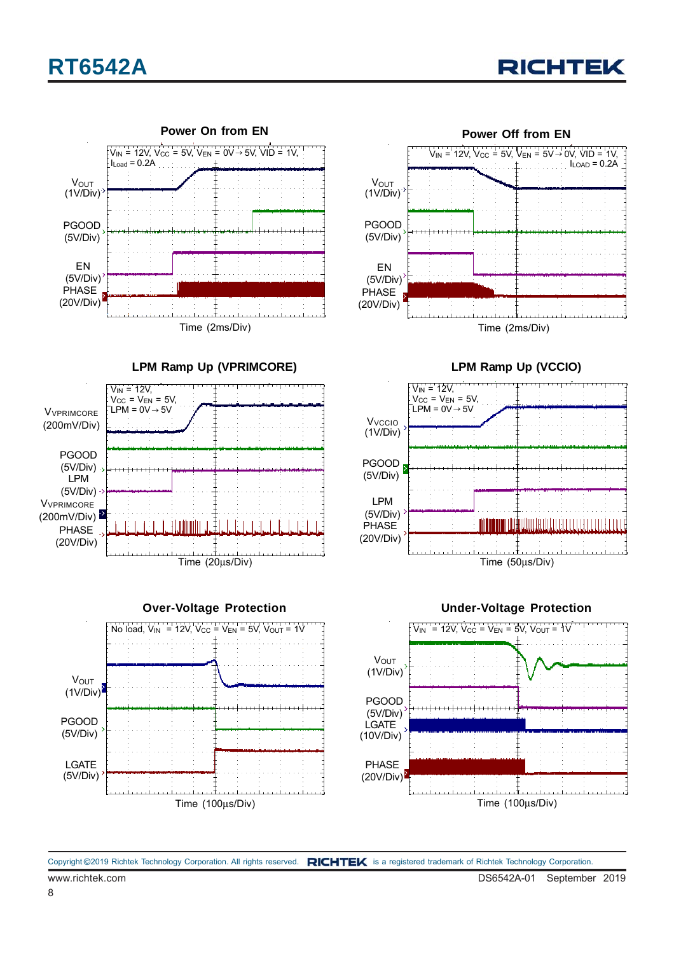



 $I_{LOAD} = 0.2A$ 



Time (2ms/Div) PGOOD (5V/Div) EN (5V/Div) **V**OUT (1V/Div) PHASE (20V/Div)

**LPM Ramp Up (VPRIMCORE)**





**LPM Ramp Up (VCCIO)**

**Power Off from EN**

 $V_{IN}$  = 12V,  $V_{CC}$  = 5V,  $V_{EN}$  = 5V  $\rightarrow$  0V, VID = 1V.



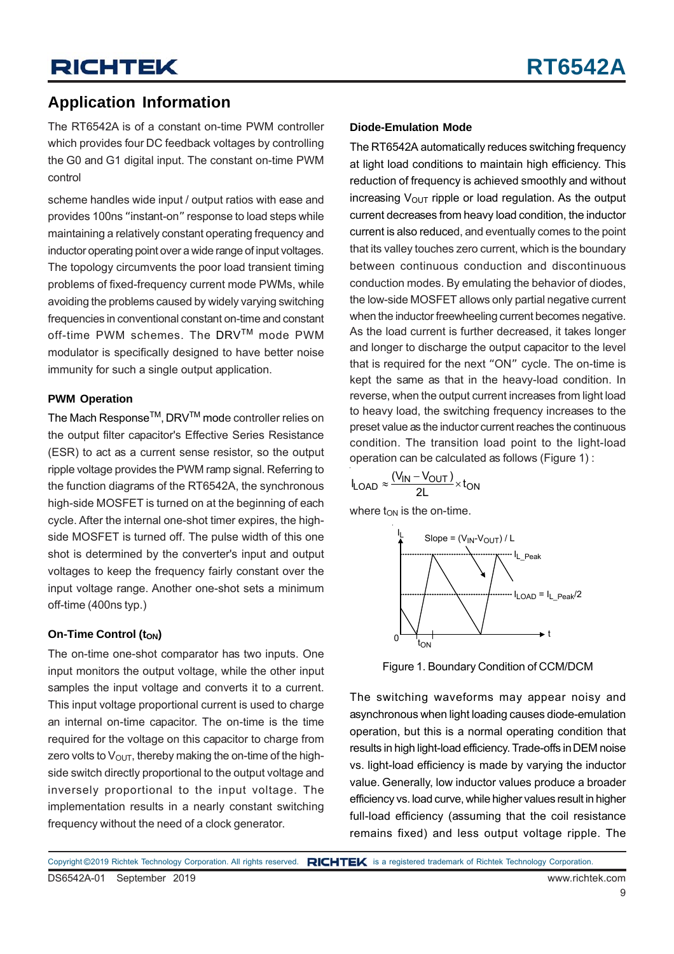### **Application Information**

The RT6542A is of a constant on-time PWM controller which provides four DC feedback voltages by controlling the G0 and G1 digital input. The constant on-time PWM control

scheme handles wide input / output ratios with ease and provides 100ns "instant-on" response to load steps while maintaining a relatively constant operating frequency and inductor operating point over a wide range of input voltages. The topology circumvents the poor load transient timing problems of fixed-frequency current mode PWMs, while avoiding the problems caused by widely varying switching frequencies in conventional constant on-time and constant off-time PWM schemes. The DRVTM mode PWM modulator is specifically designed to have better noise immunity for such a single output application.

### **PWM Operation**

The Mach Response<sup>™</sup>, DRV<sup>™</sup> mode controller relies on the output filter capacitor's Effective Series Resistance (ESR) to act as a current sense resistor, so the output ripple voltage provides the PWM ramp signal. Referring to the function diagrams of the RT6542A, the synchronous high-side MOSFET is turned on at the beginning of each cycle. After the internal one-shot timer expires, the highside MOSFET is turned off. The pulse width of this one shot is determined by the converter's input and output voltages to keep the frequency fairly constant over the input voltage range. Another one-shot sets a minimum off-time (400ns typ.)

### **On-Time Control (ton)**

The on-time one-shot comparator has two inputs. One input monitors the output voltage, while the other input samples the input voltage and converts it to a current. This input voltage proportional current is used to charge an internal on-time capacitor. The on-time is the time required for the voltage on this capacitor to charge from zero volts to  $V_{\text{OUT}}$ , thereby making the on-time of the highside switch directly proportional to the output voltage and inversely proportional to the input voltage. The implementation results in a nearly constant switching frequency without the need of a clock generator.

#### **Diode-Emulation Mode**

The RT6542A automatically reduces switching frequency at light load conditions to maintain high efficiency. This reduction of frequency is achieved smoothly and without increasing  $V_{\text{OUT}}$  ripple or load regulation. As the output current decreases from heavy load condition, the inductor current is also reduced, and eventually comes to the point that its valley touches zero current, which is the boundary between continuous conduction and discontinuous conduction modes. By emulating the behavior of diodes, the low-side MOSFET allows only partial negative current when the inductor freewheeling current becomes negative. As the load current is further decreased, it takes longer and longer to discharge the output capacitor to the level that is required for the next "ON" cycle. The on-time is kept the same as that in the heavy-load condition. In reverse, when the output current increases from light load to heavy load, the switching frequency increases to the preset value as the inductor current reaches the continuous condition. The transition load point to the light-load operation can be calculated as follows (Figure 1) :

$$
I_{LOAD} \approx \frac{(V_{IN} - V_{OUT})}{2L} \times t_{ON}
$$

where  $t_{ON}$  is the on-time.



Figure 1. Boundary Condition of CCM/DCM

The switching waveforms may appear noisy and asynchronous when light loading causes diode-emulation operation, but this is a normal operating condition that results in high light-load efficiency. Trade-offs in DEM noise vs. light-load efficiency is made by varying the inductor value. Generally, low inductor values produce a broader efficiency vs. load curve, while higher values result in higher full-load efficiency (assuming that the coil resistance remains fixed) and less output voltage ripple. The

DS6542A-01 September 2019 www.richtek.com Copyright ©2019 Richtek Technology Corporation. All rights reserved. RICHTEK is a registered trademark of Richtek Technology Corporation.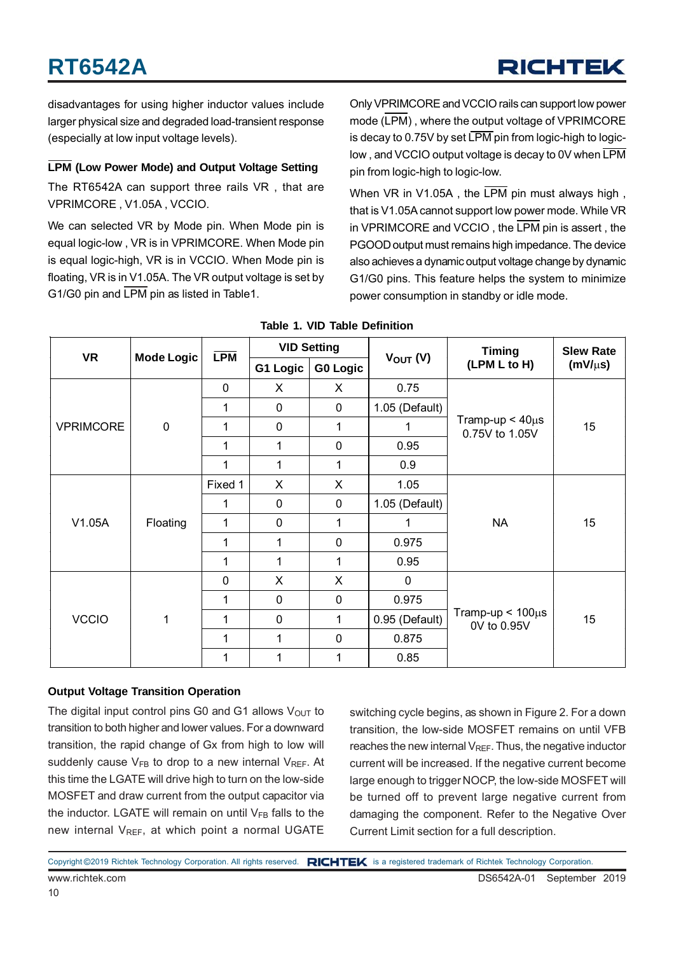disadvantages for using higher inductor values include larger physical size and degraded load-transient response (especially at low input voltage levels).

### **LPM (Low Power Mode) and Output Voltage Setting**

The RT6542A can support three rails VR , that are VPRIMCORE , V1.05A , VCCIO.

We can selected VR by Mode pin. When Mode pin is equal logic-low , VR is in VPRIMCORE. When Mode pin is equal logic-high, VR is in VCCIO. When Mode pin is floating, VR is in V1.05A. The VR output voltage is set by G1/G0 pin and LPM pin as listed in Table1.

Only VPRIMCORE and VCCIO rails can support low power mode (LPM) , where the output voltage of VPRIMCORE is decay to 0.75V by set  $\overline{\text{LPM}}$  pin from logic-high to logiclow , and VCCIO output voltage is decay to 0V when LPM pin from logic-high to logic-low.

When VR in V1.05A, the LPM pin must always high, that is V1.05A cannot support low power mode. While VR in VPRIMCORE and VCCIO , the LPM pin is assert , the PGOOD output must remains high impedance. The device also achieves a dynamic output voltage change by dynamic G1/G0 pins. This feature helps the system to minimize power consumption in standby or idle mode.

| <b>VR</b>        |                   | <b>LPM</b>  | <b>VID Setting</b> |                 |                | <b>Timing</b>                           | <b>Slew Rate</b> |      |
|------------------|-------------------|-------------|--------------------|-----------------|----------------|-----------------------------------------|------------------|------|
|                  | <b>Mode Logic</b> |             | G1 Logic           | <b>G0 Logic</b> | $V_{OUT} (V)$  | (LPM L to H)                            | $(mV/\mu s)$     |      |
|                  |                   | $\mathbf 0$ | X                  | X               | 0.75           | Tramp-up $< 40 \mu s$<br>0.75V to 1.05V |                  |      |
|                  |                   | 1           | $\mathbf 0$        | 0               | 1.05 (Default) |                                         | 15               |      |
| <b>VPRIMCORE</b> | $\mathbf 0$       | 1           | $\mathbf 0$        | 1               | 1              |                                         |                  |      |
|                  |                   | 1           | 1                  | $\mathbf 0$     | 0.95           |                                         |                  |      |
|                  |                   | 1           | 1                  | 1               | 0.9            |                                         |                  |      |
|                  |                   | Fixed 1     | X                  | X               | 1.05           | <b>NA</b>                               |                  |      |
|                  | Floating          | 1           | $\mathbf 0$        | 0               | 1.05 (Default) |                                         | 15               |      |
| V1.05A           |                   | 1           | $\mathbf 0$        | 1               | 1              |                                         |                  |      |
|                  |                   | 1           | 1                  | $\mathbf 0$     | 0.975          |                                         |                  |      |
|                  |                   | 1           | 1                  | 1               | 0.95           |                                         |                  |      |
| <b>VCCIO</b>     |                   | $\mathbf 0$ | X                  | X               | 0              |                                         |                  |      |
|                  | 1                 | 1           | $\mathbf 0$        | $\mathbf 0$     | 0.975          | Tramp-up $< 100 \mu s$<br>0V to 0.95V   | 15               |      |
|                  |                   | 1           | $\mathbf 0$        | 1               | 0.95 (Default) |                                         |                  |      |
|                  |                   | 1           | 1                  | $\mathbf 0$     | 0.875          |                                         |                  |      |
|                  |                   |             |                    |                 | 1              | 1                                       | 1                | 0.85 |

**Table 1. VID Table Definition**

### **Output Voltage Transition Operation**

The digital input control pins G0 and G1 allows  $V_{\text{OUT}}$  to transition to both higher and lower values. For a downward transition, the rapid change of Gx from high to low will suddenly cause  $V_{FB}$  to drop to a new internal  $V_{REF}$ . At this time the LGATE will drive high to turn on the low-side MOSFET and draw current from the output capacitor via the inductor. LGATE will remain on until  $V_{FB}$  falls to the new internal  $V_{RFE}$ , at which point a normal UGATE

switching cycle begins, as shown in Figure 2. For a down transition, the low-side MOSFET remains on until VFB reaches the new internal  $V_{REF}$ . Thus, the negative inductor current will be increased. If the negative current become large enough to trigger NOCP, the low-side MOSFET will be turned off to prevent large negative current from damaging the component. Refer to the Negative Over Current Limit section for a full description.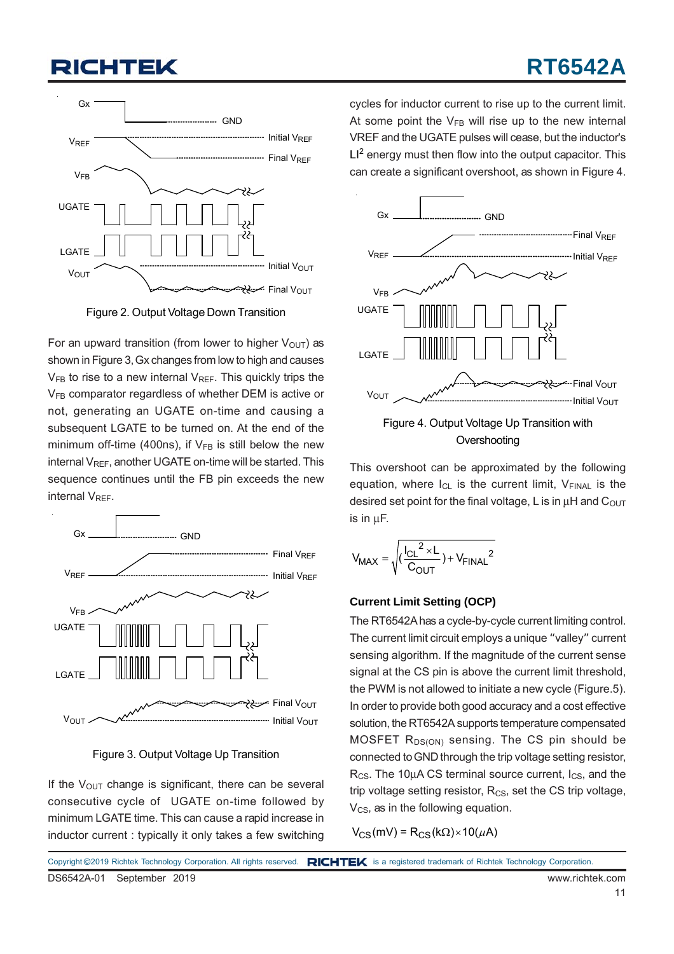## **RT6542A**



Figure 2. Output Voltage Down Transition

For an upward transition (from lower to higher  $V_{\text{OUT}}$ ) as shown in Figure 3, Gx changes from low to high and causes  $V_{FB}$  to rise to a new internal  $V_{REF}$ . This quickly trips the V<sub>FB</sub> comparator regardless of whether DEM is active or not, generating an UGATE on-time and causing a subsequent LGATE to be turned on. At the end of the minimum off-time (400ns), if  $V_{FB}$  is still below the new internal  $V_{REF}$ , another UGATE on-time will be started. This sequence continues until the FB pin exceeds the new internal V<sub>RFF</sub>.



Figure 3. Output Voltage Up Transition

If the  $V_{\text{OUT}}$  change is significant, there can be several consecutive cycle of UGATE on-time followed by minimum LGATE time. This can cause a rapid increase in inductor current : typically it only takes a few switching cycles for inductor current to rise up to the current limit. At some point the  $V_{FB}$  will rise up to the new internal VREF and the UGATE pulses will cease, but the inductor's  $LI<sup>2</sup>$  energy must then flow into the output capacitor. This can create a significant overshoot, as shown in Figure 4.



This overshoot can be approximated by the following equation, where  $I_{CL}$  is the current limit,  $V_{FINAL}$  is the desired set point for the final voltage, L is in  $\mu$ H and C<sub>OUT</sub> is in μF.

$$
V_{MAX} = \sqrt{(\frac{{I_{CL}}^2 \times L}{C_{OUT}}) + V_{FINAL}^2}
$$

### **Current Limit Setting (OCP)**

The RT6542A has a cycle-by-cycle current limiting control. The current limit circuit employs a unique "valley" current sensing algorithm. If the magnitude of the current sense signal at the CS pin is above the current limit threshold, the PWM is not allowed to initiate a new cycle (Figure.5). In order to provide both good accuracy and a cost effective solution, the RT6542A supports temperature compensated  $MOSFET R<sub>DS(ON)</sub>$  sensing. The CS pin should be connected to GND through the trip voltage setting resistor,  $R_{CS}$ . The 10µA CS terminal source current,  $I_{CS}$ , and the trip voltage setting resistor,  $R_{CS}$ , set the CS trip voltage,  $V_{CS}$ , as in the following equation.

 $V_{CS}$ (mV) = R<sub>CS</sub>(k $\Omega$ )×10( $\mu$ A)

DS6542A-01 September 2019 www.richtek.com Copyright ©2019 Richtek Technology Corporation. All rights reserved. RICHTEK is a registered trademark of Richtek Technology Corporation.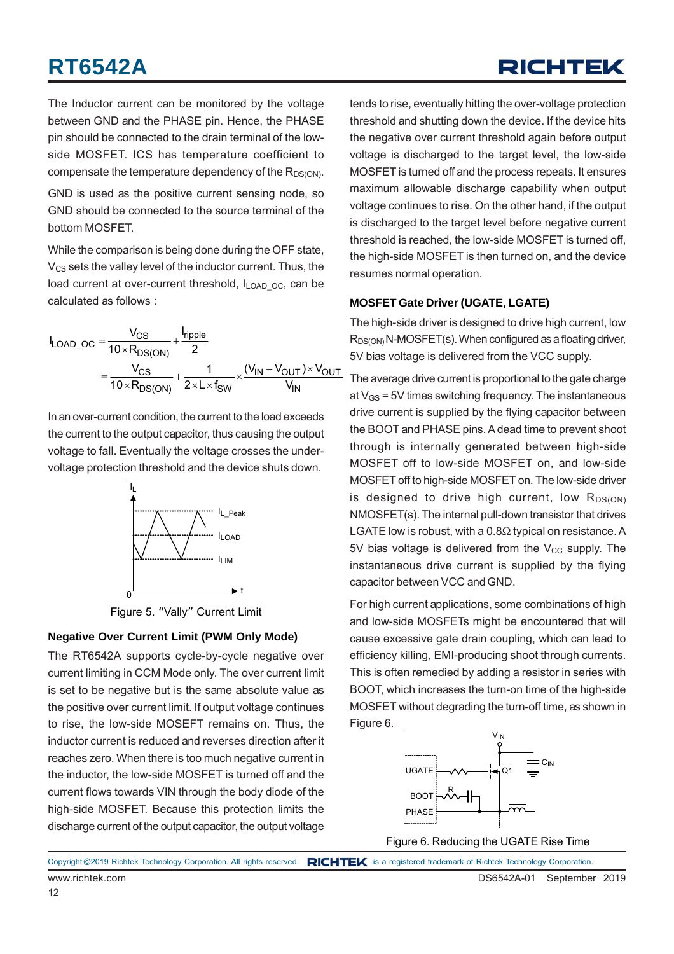## RICHTEK

The Inductor current can be monitored by the voltage between GND and the PHASE pin. Hence, the PHASE pin should be connected to the drain terminal of the lowside MOSFET. ICS has temperature coefficient to compensate the temperature dependency of the  $R_{DS(ON)}$ .

GND is used as the positive current sensing node, so GND should be connected to the source terminal of the bottom MOSFET.

While the comparison is being done during the OFF state,  $V_{CS}$  sets the valley level of the inductor current. Thus, the load current at over-current threshold,  $I_{\text{LOAD-OC}}$ , can be calculated as follows :

$$
I_{\text{LOAD\_OC}} = \frac{V_{CS}}{10 \times R_{DS(ON)}} + \frac{I_{\text{ripple}}}{2}
$$

$$
= \frac{V_{CS}}{10 \times R_{DS(ON)}} + \frac{1}{2 \times L \times f_{SW}} \times \frac{(V_{IN} - V_{OUT}) \times V_{OUT}}{V_{IN}}
$$

In an over-current condition, the current to the load exceeds the current to the output capacitor, thus causing the output voltage to fall. Eventually the voltage crosses the undervoltage protection threshold and the device shuts down.



Figure 5. "Vally" Current Limit

### **Negative Over Current Limit (PWM Only Mode)**

The RT6542A supports cycle-by-cycle negative over current limiting in CCM Mode only. The over current limit is set to be negative but is the same absolute value as the positive over current limit. If output voltage continues to rise, the low-side MOSEFT remains on. Thus, the inductor current is reduced and reverses direction after it reaches zero. When there is too much negative current in the inductor, the low-side MOSFET is turned off and the current flows towards VIN through the body diode of the high-side MOSFET. Because this protection limits the discharge current of the output capacitor, the output voltage

tends to rise, eventually hitting the over-voltage protection threshold and shutting down the device. If the device hits the negative over current threshold again before output voltage is discharged to the target level, the low-side MOSFET is turned off and the process repeats. It ensures maximum allowable discharge capability when output voltage continues to rise. On the other hand, if the output is discharged to the target level before negative current threshold is reached, the low-side MOSFET is turned off, the high-side MOSFET is then turned on, and the device resumes normal operation.

### **MOSFET Gate Driver (UGATE, LGATE)**

The high-side driver is designed to drive high current, low  $R_{DS(ON)}$  N-MOSFET(s). When configured as a floating driver, 5V bias voltage is delivered from the VCC supply.

The average drive current is proportional to the gate charge at  $V_{GS}$  = 5V times switching frequency. The instantaneous drive current is supplied by the flying capacitor between the BOOT and PHASE pins. A dead time to prevent shoot through is internally generated between high-side MOSFET off to low-side MOSFET on, and low-side MOSFET off to high-side MOSFET on. The low-side driver is designed to drive high current, low  $R_{DS(ON)}$ NMOSFET(s). The internal pull-down transistor that drives LGATE low is robust, with a  $0.8\Omega$  typical on resistance. A 5V bias voltage is delivered from the  $V_{CC}$  supply. The instantaneous drive current is supplied by the flying capacitor between VCC and GND.

For high current applications, some combinations of high and low-side MOSFETs might be encountered that will cause excessive gate drain coupling, which can lead to efficiency killing, EMI-producing shoot through currents. This is often remedied by adding a resistor in series with BOOT, which increases the turn-on time of the high-side MOSFET without degrading the turn-off time, as shown in Figure 6.



Figure 6. Reducing the UGATE Rise Time

www.richtek.com DS6542A-01 September 2019 Copyright ©2019 Richtek Technology Corporation. All rights reserved. RICHTEK is a registered trademark of Richtek Technology Corporation.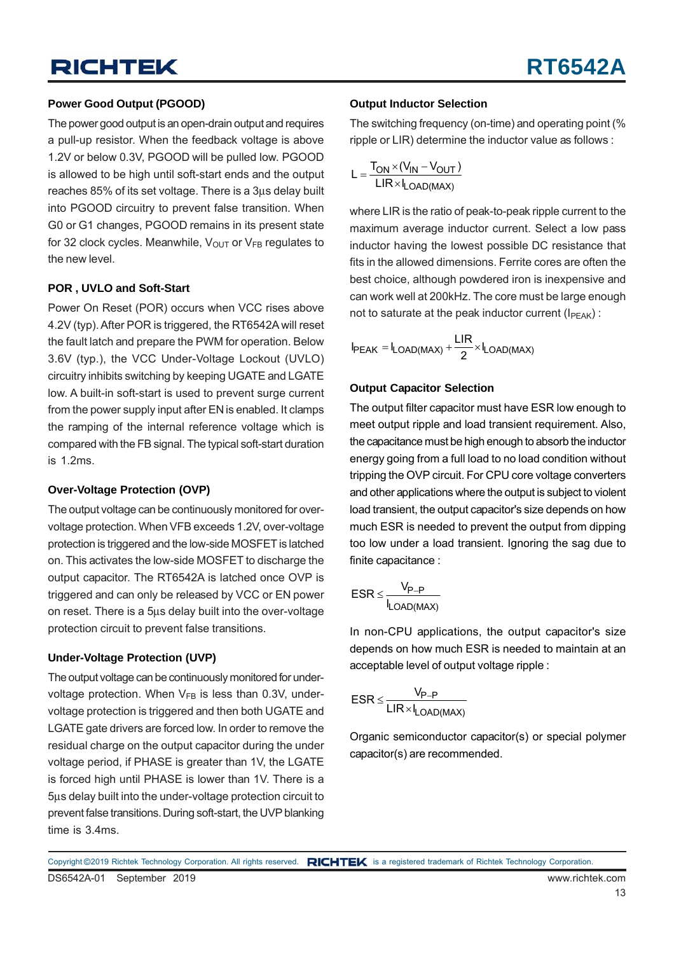### **Power Good Output (PGOOD)**

The power good output is an open-drain output and requires a pull-up resistor. When the feedback voltage is above 1.2V or below 0.3V, PGOOD will be pulled low. PGOOD is allowed to be high until soft-start ends and the output reaches 85% of its set voltage. There is a 3μs delay built into PGOOD circuitry to prevent false transition. When G0 or G1 changes, PGOOD remains in its present state for 32 clock cycles. Meanwhile,  $V_{\text{OUT}}$  or  $V_{\text{FB}}$  regulates to the new level.

#### **POR , UVLO and Soft-Start**

Power On Reset (POR) occurs when VCC rises above 4.2V (typ). After POR is triggered, the RT6542A will reset the fault latch and prepare the PWM for operation. Below 3.6V (typ.), the VCC Under-Voltage Lockout (UVLO) circuitry inhibits switching by keeping UGATE and LGATE low. A built-in soft-start is used to prevent surge current from the power supply input after EN is enabled. It clamps the ramping of the internal reference voltage which is compared with the FB signal. The typical soft-start duration is 1.2ms.

#### **Over-Voltage Protection (OVP)**

The output voltage can be continuously monitored for overvoltage protection. When VFB exceeds 1.2V, over-voltage protection is triggered and the low-side MOSFET is latched on. This activates the low-side MOSFET to discharge the output capacitor. The RT6542A is latched once OVP is triggered and can only be released by VCC or EN power on reset. There is a 5μs delay built into the over-voltage protection circuit to prevent false transitions.

### **Under-Voltage Protection (UVP)**

The output voltage can be continuously monitored for undervoltage protection. When  $V_{FB}$  is less than 0.3V, undervoltage protection is triggered and then both UGATE and LGATE gate drivers are forced low. In order to remove the residual charge on the output capacitor during the under voltage period, if PHASE is greater than 1V, the LGATE is forced high until PHASE is lower than 1V. There is a 5μs delay built into the under-voltage protection circuit to prevent false transitions. During soft-start, the UVP blanking time is 3.4ms.

#### **Output Inductor Selection**

The switching frequency (on-time) and operating point (% ripple or LIR) determine the inductor value as follows :

$$
L = \frac{T_{ON} \times (V_{IN} - V_{OUT})}{LIR \times I_{LOAD(MAX)}}
$$

where LIR is the ratio of peak-to-peak ripple current to the maximum average inductor current. Select a low pass inductor having the lowest possible DC resistance that fits in the allowed dimensions. Ferrite cores are often the best choice, although powdered iron is inexpensive and can work well at 200kHz. The core must be large enough not to saturate at the peak inductor current ( $I_{\text{PEAK}}$ ):

$$
I_{PEAK} = I_{LOAD(MAX)} + \frac{LIR}{2} \times I_{LOAD(MAX)}
$$

#### **Output Capacitor Selection**

The output filter capacitor must have ESR low enough to meet output ripple and load transient requirement. Also, the capacitance must be high enough to absorb the inductor energy going from a full load to no load condition without tripping the OVP circuit. For CPU core voltage converters and other applications where the output is subject to violent load transient, the output capacitor's size depends on how much ESR is needed to prevent the output from dipping too low under a load transient. Ignoring the sag due to finite capacitance :

$$
ESR \leq \frac{V_{P-P}}{I_{LOAD(MAX)}}
$$

In non-CPU applications, the output capacitor's size depends on how much ESR is needed to maintain at an acceptable level of output voltage ripple :

$$
ESR \leq \frac{V_{P-P}}{LIR \times I_{LOAD(MAX)}}
$$

Organic semiconductor capacitor(s) or special polymer capacitor(s) are recommended.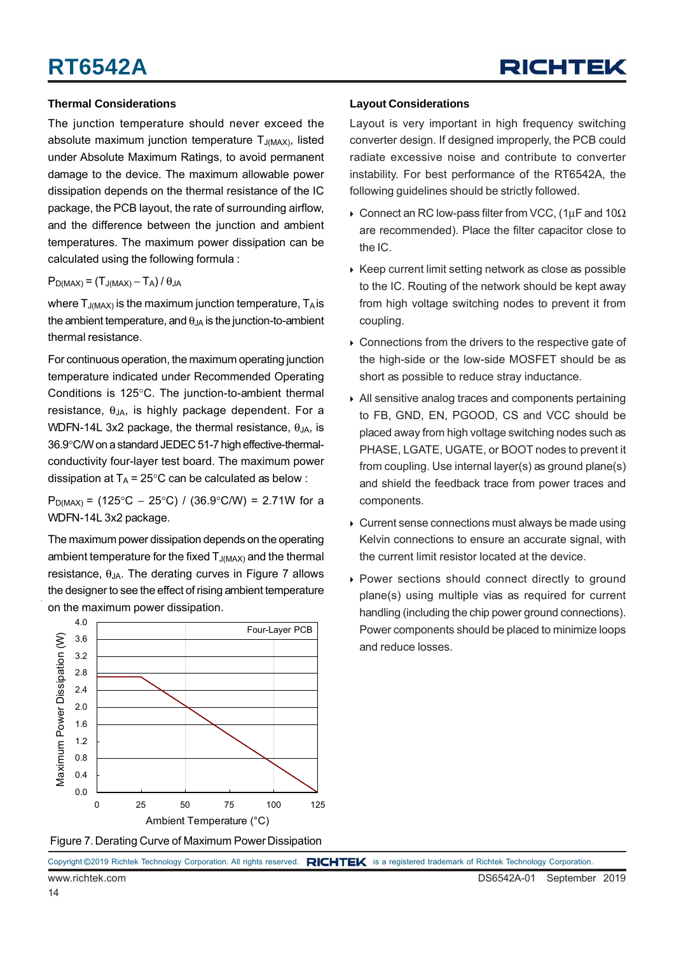#### **Thermal Considerations**

The junction temperature should never exceed the absolute maximum junction temperature  $T_{J(MAX)}$ , listed under Absolute Maximum Ratings, to avoid permanent damage to the device. The maximum allowable power dissipation depends on the thermal resistance of the IC package, the PCB layout, the rate of surrounding airflow, and the difference between the junction and ambient temperatures. The maximum power dissipation can be calculated using the following formula :

 $P_{D(MAX)} = (T_{J(MAX)} - T_A)/\theta_{JA}$ 

where  $T_{J(MAX)}$  is the maximum junction temperature,  $T_A$  is the ambient temperature, and  $\theta_{JA}$  is the junction-to-ambient thermal resistance.

For continuous operation, the maximum operating junction temperature indicated under Recommended Operating Conditions is 125°C. The junction-to-ambient thermal resistance,  $\theta_{JA}$ , is highly package dependent. For a WDFN-14L 3x2 package, the thermal resistance,  $\theta_{JA}$ , is 36.9°C/W on a standard JEDEC 51-7 high effective-thermalconductivity four-layer test board. The maximum power dissipation at  $T_A = 25^{\circ}$ C can be calculated as below :

P<sub>D(MAX)</sub> = (125°C – 25°C) / (36.9°C/W) = 2.71W for a WDFN-14L 3x2 package.

The maximum power dissipation depends on the operating ambient temperature for the fixed  $T_{J(MAX)}$  and the thermal resistance,  $θ_{JA}$ . The derating curves in Figure 7 allows the designer to see the effect of rising ambient temperature on the maximum power dissipation.



#### Figure 7. Derating Curve of Maximum Power Dissipation

#### **Layout Considerations**

Layout is very important in high frequency switching converter design. If designed improperly, the PCB could radiate excessive noise and contribute to converter instability. For best performance of the RT6542A, the following guidelines should be strictly followed.

- $\rightarrow$  Connect an RC low-pass filter from VCC, (1μF and 10Ω are recommended). Place the filter capacitor close to the IC.
- $\triangleright$  Keep current limit setting network as close as possible to the IC. Routing of the network should be kept away from high voltage switching nodes to prevent it from coupling.
- Connections from the drivers to the respective gate of the high-side or the low-side MOSFET should be as short as possible to reduce stray inductance.
- All sensitive analog traces and components pertaining to FB, GND, EN, PGOOD, CS and VCC should be placed away from high voltage switching nodes such as PHASE, LGATE, UGATE, or BOOT nodes to prevent it from coupling. Use internal layer(s) as ground plane(s) and shield the feedback trace from power traces and components.
- Current sense connections must always be made using Kelvin connections to ensure an accurate signal, with the current limit resistor located at the device.
- ▶ Power sections should connect directly to ground plane(s) using multiple vias as required for current handling (including the chip power ground connections). Power components should be placed to minimize loops and reduce losses.